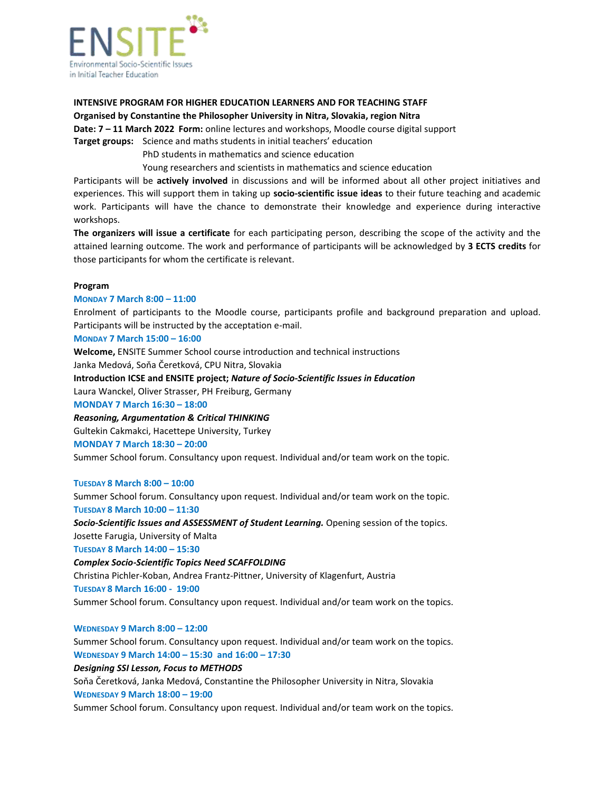

# **INTENSIVE PROGRAM FOR HIGHER EDUCATION LEARNERS AND FOR TEACHING STAFF**

## **Organised by Constantine the Philosopher University in Nitra, Slovakia, region Nitra**

**Date: 7 – 11 March 2022 Form:** online lectures and workshops, Moodle course digital support

**Target groups:** Science and maths students in initial teachers' education

PhD students in mathematics and science education

Young researchers and scientists in mathematics and science education

Participants will be **actively involved** in discussions and will be informed about all other project initiatives and experiences. This will support them in taking up **socio-scientific issue ideas** to their future teaching and academic work. Participants will have the chance to demonstrate their knowledge and experience during interactive workshops.

**The organizers will issue a certificate** for each participating person, describing the scope of the activity and the attained learning outcome. The work and performance of participants will be acknowledged by **3 ECTS credits** for those participants for whom the certificate is relevant.

## **Program**

## **MONDAY 7 March 8:00 – 11:00**

Enrolment of participants to the Moodle course, participants profile and background preparation and upload. Participants will be instructed by the acceptation e-mail.

## **MONDAY 7 March 15:00 – 16:00**

**Welcome,** ENSITE Summer School course introduction and technical instructions Janka Medová, Soňa Čeretková, CPU Nitra, Slovakia

## **Introduction ICSE and ENSITE project;** *Nature of Socio-Scientific Issues in Education*

Laura Wanckel, Oliver Strasser, PH Freiburg, Germany

## **MONDAY 7 March 16:30 – 18:00**

## *Reasoning, Argumentation & Critical THINKING*

Gultekin Cakmakci, Hacettepe University, Turkey

## **MONDAY 7 March 18:30 – 20:00**

Summer School forum. Consultancy upon request. Individual and/or team work on the topic.

## **TUESDAY 8 March 8:00 – 10:00**

Summer School forum. Consultancy upon request. Individual and/or team work on the topic. **TUESDAY 8 March 10:00 – 11:30**

*Socio-Scientific Issues and ASSESSMENT of Student Learning.* Opening session of the topics. Josette Farugia, University of Malta

**TUESDAY 8 March 14:00 – 15:30**

## *Complex Socio-Scientific Topics Need SCAFFOLDING*

Christina Pichler-Koban, Andrea Frantz-Pittner, University of Klagenfurt, Austria

## **TUESDAY 8 March 16:00 - 19:00**

Summer School forum. Consultancy upon request. Individual and/or team work on the topics.

## **WEDNESDAY 9 March 8:00 – 12:00**

Summer School forum. Consultancy upon request. Individual and/or team work on the topics. **WEDNESDAY 9 March 14:00 – 15:30 and 16:00 – 17:30**

## *Designing SSI Lesson, Focus to METHODS*

Soňa Čeretková, Janka Medová, Constantine the Philosopher University in Nitra, Slovakia **WEDNESDAY 9 March 18:00 – 19:00**

Summer School forum. Consultancy upon request. Individual and/or team work on the topics.